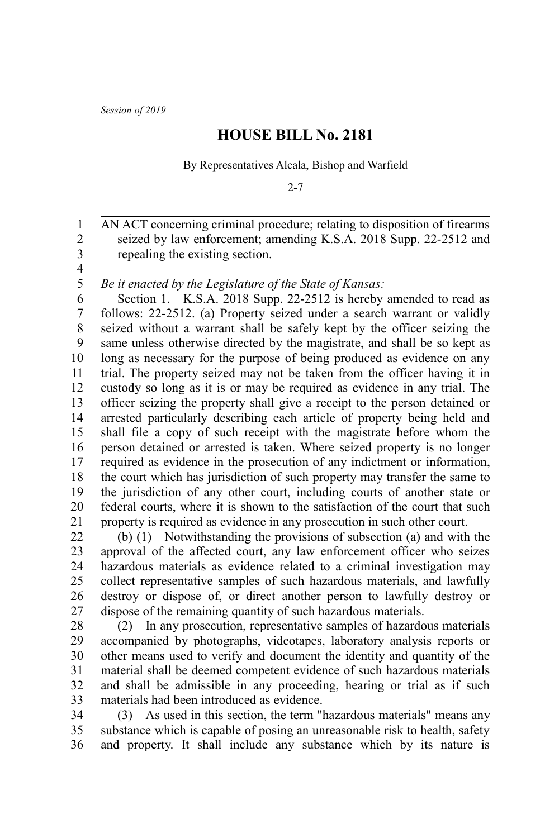*Session of 2019*

## **HOUSE BILL No. 2181**

By Representatives Alcala, Bishop and Warfield

 $2 - 7$ 

AN ACT concerning criminal procedure; relating to disposition of firearms seized by law enforcement; amending K.S.A. 2018 Supp. 22-2512 and repealing the existing section. 2 3

4 5

1

*Be it enacted by the Legislature of the State of Kansas:*

Section 1. K.S.A. 2018 Supp. 22-2512 is hereby amended to read as follows: 22-2512. (a) Property seized under a search warrant or validly seized without a warrant shall be safely kept by the officer seizing the same unless otherwise directed by the magistrate, and shall be so kept as long as necessary for the purpose of being produced as evidence on any trial. The property seized may not be taken from the officer having it in custody so long as it is or may be required as evidence in any trial. The officer seizing the property shall give a receipt to the person detained or arrested particularly describing each article of property being held and shall file a copy of such receipt with the magistrate before whom the person detained or arrested is taken. Where seized property is no longer required as evidence in the prosecution of any indictment or information, the court which has jurisdiction of such property may transfer the same to the jurisdiction of any other court, including courts of another state or federal courts, where it is shown to the satisfaction of the court that such property is required as evidence in any prosecution in such other court. 6 7 8 9 10 11 12 13 14 15 16 17 18 19 20 21

(b) (1) Notwithstanding the provisions of subsection (a) and with the approval of the affected court, any law enforcement officer who seizes hazardous materials as evidence related to a criminal investigation may collect representative samples of such hazardous materials, and lawfully destroy or dispose of, or direct another person to lawfully destroy or dispose of the remaining quantity of such hazardous materials. 22 23 24 25 26 27

(2) In any prosecution, representative samples of hazardous materials accompanied by photographs, videotapes, laboratory analysis reports or other means used to verify and document the identity and quantity of the material shall be deemed competent evidence of such hazardous materials and shall be admissible in any proceeding, hearing or trial as if such materials had been introduced as evidence. 28 29 30 31 32 33

(3) As used in this section, the term "hazardous materials" means any substance which is capable of posing an unreasonable risk to health, safety and property. It shall include any substance which by its nature is 34 35 36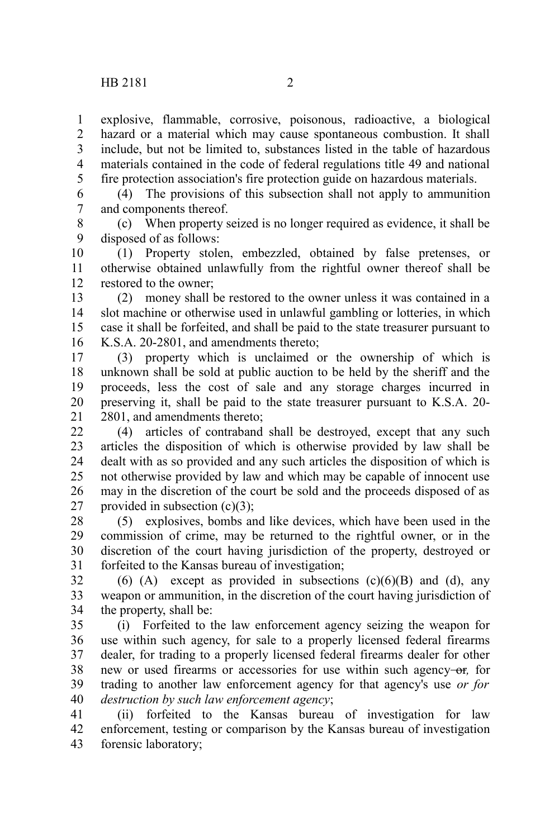explosive, flammable, corrosive, poisonous, radioactive, a biological hazard or a material which may cause spontaneous combustion. It shall include, but not be limited to, substances listed in the table of hazardous materials contained in the code of federal regulations title 49 and national fire protection association's fire protection guide on hazardous materials. 1 2 3 4 5

(4) The provisions of this subsection shall not apply to ammunition and components thereof. 6 7

(c) When property seized is no longer required as evidence, it shall be disposed of as follows: 8 9

(1) Property stolen, embezzled, obtained by false pretenses, or otherwise obtained unlawfully from the rightful owner thereof shall be restored to the owner; 10 11 12

(2) money shall be restored to the owner unless it was contained in a slot machine or otherwise used in unlawful gambling or lotteries, in which case it shall be forfeited, and shall be paid to the state treasurer pursuant to K.S.A. 20-2801, and amendments thereto; 13 14 15 16

(3) property which is unclaimed or the ownership of which is unknown shall be sold at public auction to be held by the sheriff and the proceeds, less the cost of sale and any storage charges incurred in preserving it, shall be paid to the state treasurer pursuant to K.S.A. 20- 2801, and amendments thereto; 17 18 19 20 21

(4) articles of contraband shall be destroyed, except that any such articles the disposition of which is otherwise provided by law shall be dealt with as so provided and any such articles the disposition of which is not otherwise provided by law and which may be capable of innocent use may in the discretion of the court be sold and the proceeds disposed of as provided in subsection  $(c)(3)$ ;  $22$ 23 24 25 26 27

(5) explosives, bombs and like devices, which have been used in the commission of crime, may be returned to the rightful owner, or in the discretion of the court having jurisdiction of the property, destroyed or forfeited to the Kansas bureau of investigation; 28 29 30 31

(6) (A) except as provided in subsections  $(c)(6)(B)$  and (d), any weapon or ammunition, in the discretion of the court having jurisdiction of the property, shall be: 32 33 34

(i) Forfeited to the law enforcement agency seizing the weapon for use within such agency, for sale to a properly licensed federal firearms dealer, for trading to a properly licensed federal firearms dealer for other new or used firearms or accessories for use within such agency-or, for trading to another law enforcement agency for that agency's use *or for destruction by such law enforcement agency*; 35 36 37 38 39 40

(ii) forfeited to the Kansas bureau of investigation for law enforcement, testing or comparison by the Kansas bureau of investigation forensic laboratory; 41 42 43